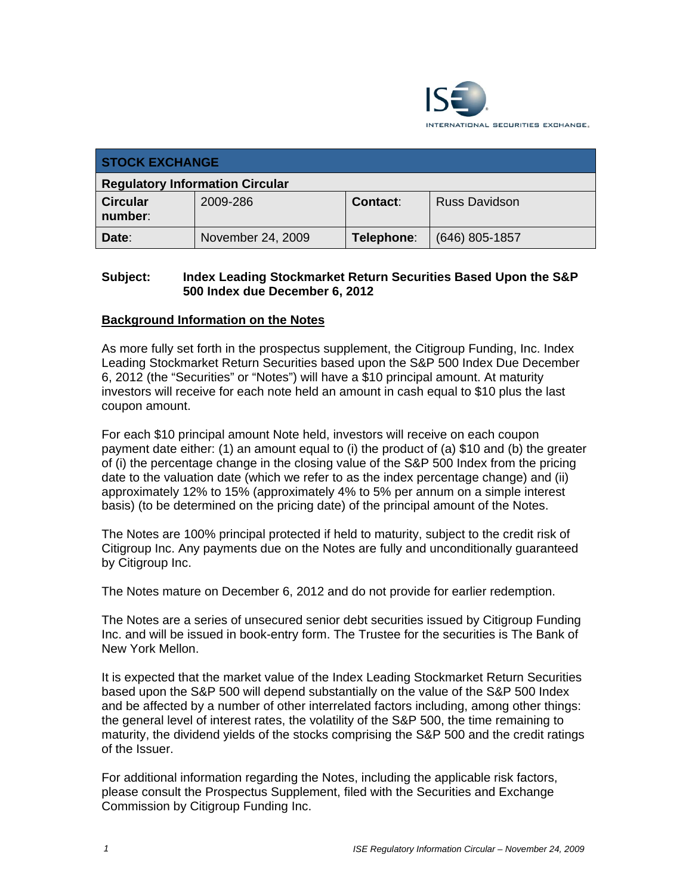

| <b>STOCK EXCHANGE</b>                  |                   |            |                      |  |
|----------------------------------------|-------------------|------------|----------------------|--|
| <b>Regulatory Information Circular</b> |                   |            |                      |  |
| <b>Circular</b><br>number:             | 2009-286          | Contact:   | <b>Russ Davidson</b> |  |
| Date:                                  | November 24, 2009 | Telephone: | $(646)$ 805-1857     |  |

#### **Subject: Index Leading Stockmarket Return Securities Based Upon the S&P 500 Index due December 6, 2012**

#### **Background Information on the Notes**

As more fully set forth in the prospectus supplement, the Citigroup Funding, Inc. Index Leading Stockmarket Return Securities based upon the S&P 500 Index Due December 6, 2012 (the "Securities" or "Notes") will have a \$10 principal amount. At maturity investors will receive for each note held an amount in cash equal to \$10 plus the last coupon amount.

For each \$10 principal amount Note held, investors will receive on each coupon payment date either: (1) an amount equal to (i) the product of (a) \$10 and (b) the greater of (i) the percentage change in the closing value of the S&P 500 Index from the pricing date to the valuation date (which we refer to as the index percentage change) and (ii) approximately 12% to 15% (approximately 4% to 5% per annum on a simple interest basis) (to be determined on the pricing date) of the principal amount of the Notes.

The Notes are 100% principal protected if held to maturity, subject to the credit risk of Citigroup Inc. Any payments due on the Notes are fully and unconditionally guaranteed by Citigroup Inc.

The Notes mature on December 6, 2012 and do not provide for earlier redemption.

The Notes are a series of unsecured senior debt securities issued by Citigroup Funding Inc. and will be issued in book-entry form. The Trustee for the securities is The Bank of New York Mellon.

It is expected that the market value of the Index Leading Stockmarket Return Securities based upon the S&P 500 will depend substantially on the value of the S&P 500 Index and be affected by a number of other interrelated factors including, among other things: the general level of interest rates, the volatility of the S&P 500, the time remaining to maturity, the dividend yields of the stocks comprising the S&P 500 and the credit ratings of the Issuer.

For additional information regarding the Notes, including the applicable risk factors, please consult the Prospectus Supplement, filed with the Securities and Exchange Commission by Citigroup Funding Inc.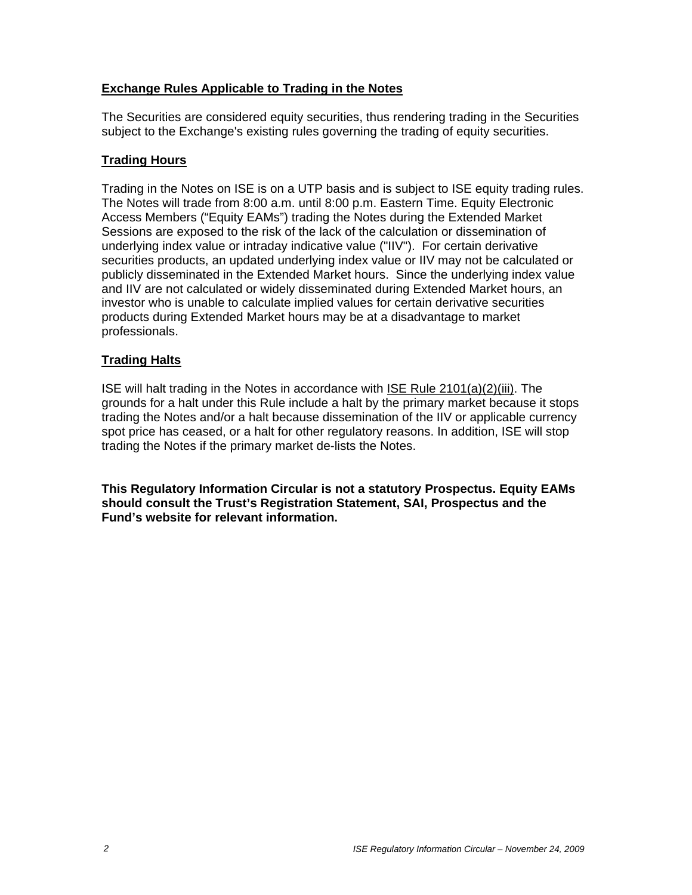## **Exchange Rules Applicable to Trading in the Notes**

The Securities are considered equity securities, thus rendering trading in the Securities subject to the Exchange's existing rules governing the trading of equity securities.

## **Trading Hours**

Trading in the Notes on ISE is on a UTP basis and is subject to ISE equity trading rules. The Notes will trade from 8:00 a.m. until 8:00 p.m. Eastern Time. Equity Electronic Access Members ("Equity EAMs") trading the Notes during the Extended Market Sessions are exposed to the risk of the lack of the calculation or dissemination of underlying index value or intraday indicative value ("IIV"). For certain derivative securities products, an updated underlying index value or IIV may not be calculated or publicly disseminated in the Extended Market hours. Since the underlying index value and IIV are not calculated or widely disseminated during Extended Market hours, an investor who is unable to calculate implied values for certain derivative securities products during Extended Market hours may be at a disadvantage to market professionals.

## **Trading Halts**

ISE will halt trading in the Notes in accordance with ISE Rule 2101(a)(2)(iii). The grounds for a halt under this Rule include a halt by the primary market because it stops trading the Notes and/or a halt because dissemination of the IIV or applicable currency spot price has ceased, or a halt for other regulatory reasons. In addition, ISE will stop trading the Notes if the primary market de-lists the Notes.

**This Regulatory Information Circular is not a statutory Prospectus. Equity EAMs should consult the Trust's Registration Statement, SAI, Prospectus and the Fund's website for relevant information.**